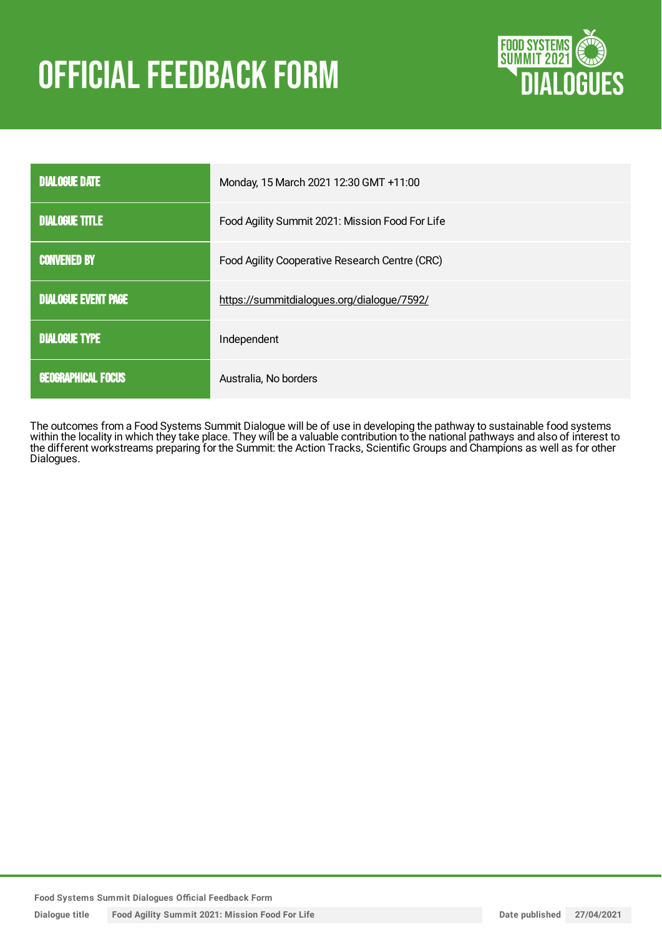# **OFFICIAL FEEDBACK FORM**



| <b>DIALOGUE DATE</b>       | Monday, 15 March 2021 12:30 GMT +11:00          |
|----------------------------|-------------------------------------------------|
| <b>DIALOGUE TITLE</b>      | Food Agility Summit 2021: Mission Food For Life |
| <b>CONVENED BY</b>         | Food Agility Cooperative Research Centre (CRC)  |
| <b>DIALOGUE EVENT PAGE</b> | https://summitdialogues.org/dialogue/7592/      |
| <b>DIALOGUE TYPE</b>       | Independent                                     |
| <b>GEOGRAPHICAL FOCUS</b>  | Australia, No borders                           |

The outcomes from a Food Systems Summit Dialogue will be of use in developing the pathway to sustainable food systems within the locality in which they take place. They will be a valuable contribution to the national pathways and also of interest to the different workstreams preparing for the Summit: the Action Tracks, Scientific Groups and Champions as well as for other Dialogues.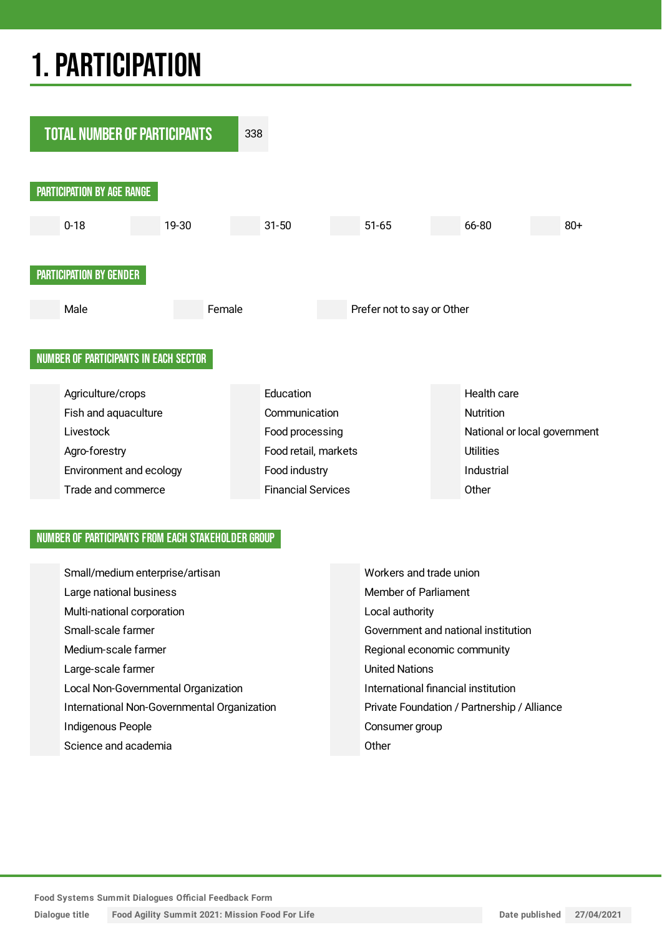## 1.PARTICIPATION



#### NUMBER OF PARTICIPANTS FROM EACH STAKEHOLDER GROUP

| Small/medium enterprise/artisan             | Workers and trade union                     |
|---------------------------------------------|---------------------------------------------|
| Large national business                     | Member of Parliament                        |
| Multi-national corporation                  | Local authority                             |
| Small-scale farmer                          | Government and national institution         |
| Medium-scale farmer                         | Regional economic community                 |
| Large-scale farmer                          | <b>United Nations</b>                       |
| Local Non-Governmental Organization         | International financial institution         |
| International Non-Governmental Organization | Private Foundation / Partnership / Alliance |
| Indigenous People                           | Consumer group                              |
| Science and academia                        | Other                                       |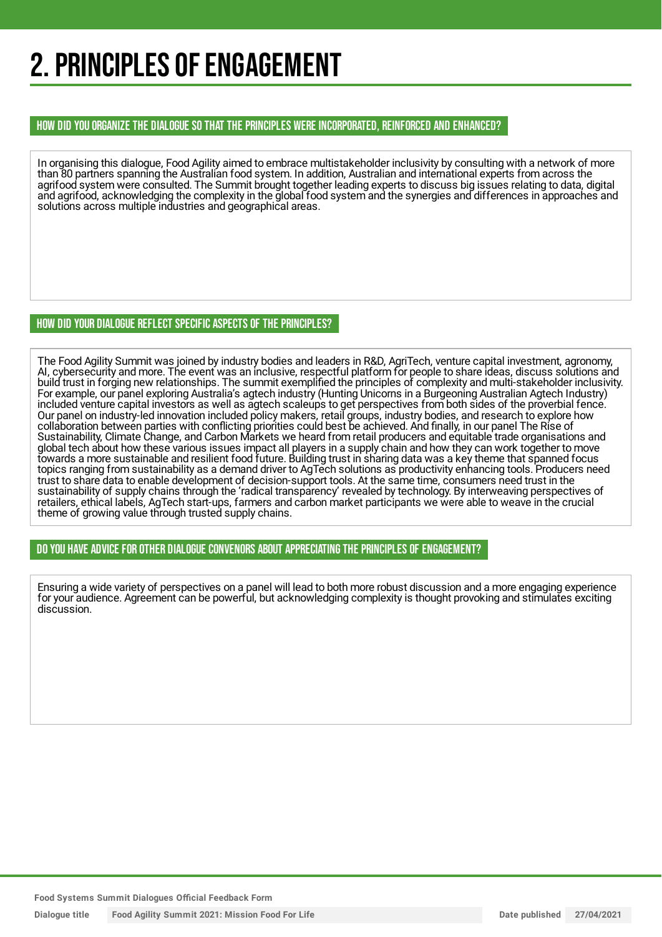## 2. PRINCIPLES OF ENGAGEMENT

#### HOW DID YOU ORGANIZE THE DIALOGUE SO THAT THE PRINCIPLES WERE INCORPORATED, REINFORCED AND ENHANCED?

In organising this dialogue, Food Agility aimed to embrace multistakeholder inclusivity by consulting with a network of more than 80 partners spanning the Australian food system. In addition, Australian and international experts from across the agrifood system were consulted. The Summit brought together leading experts to discuss big issues relating to data, digital and agrifood, acknowledging the complexity in the global food system and the synergies and differences in approaches and solutions across multiple industries and geographical areas.

#### HOW DID YOUR DIALOGUE REFLECT SPECIFIC ASPECTS OF THE PRINCIPLES?

The Food Agility Summit was joined by industry bodies and leaders in R&D, AgriTech, venture capital investment, agronomy, AI, cybersecurity and more. The event was an inclusive, respectful platform for people to share ideas, discuss solutions and build trust in forging new relationships. The summit exemplified the principles of complexity and multi-stakeholder inclusivity. For example, our panel exploring Australia's agtech industry (Hunting Unicorns in a Burgeoning Australian Agtech Industry) included venture capital investors as well as agtech scaleups to get perspectives from both sides of the proverbial fence. Our panel on industry-led innovation included policy makers, retail groups, industry bodies, and research to explore how collaboration between parties with conflicting priorities could best be achieved. And finally, in our panel The Rise of Sustainability, Climate Change, and Carbon Markets we heard from retail producers and equitable trade organisations and global tech about how these various issues impact all players in a supply chain and how they can work together to move towards a more sustainable and resilient food future. Building trust in sharing data was a key theme that spanned focus topics ranging from sustainability as a demand driver to AgTech solutions as productivity enhancing tools. Producers need trust to share data to enable development of decision-support tools. At the same time, consumers need trust in the sustainability of supply chains through the 'radical transparency' revealed by technology. By interweaving perspectives of retailers, ethical labels, AgTech start-ups, farmers and carbon market participants we were able to weave in the crucial theme of growing value through trusted supply chains.

#### DO YOU HAVE ADVICE FOR OTHER DIALOGUE CONVENORS ABOUT APPRECIATINGTHE PRINCIPLES OF ENGAGEMENT?

Ensuring a wide variety of perspectives on a panel will lead to both more robust discussion and a more engaging experience for your audience. Agreement can be powerful, but acknowledging complexity is thought provoking and stimulates exciting discussion.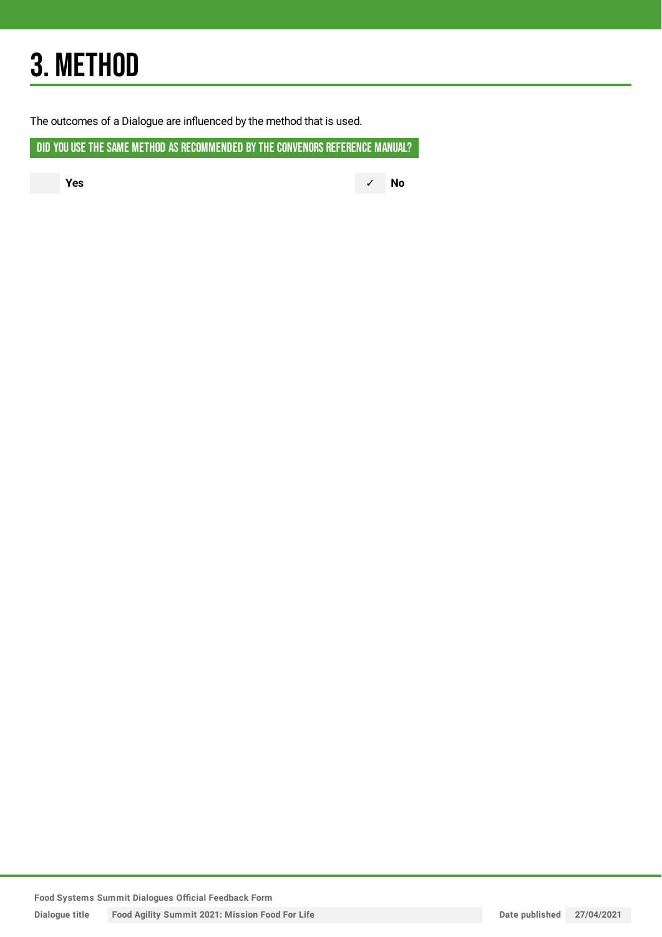## 3. METHOD

The outcomes of a Dialogue are influenced by the method that is used.

DID YOU USE THE SAME METHOD AS RECOMMENDED BY THE CONVENORS REFERENCE MANUAL?

**Yes** ✓ **No**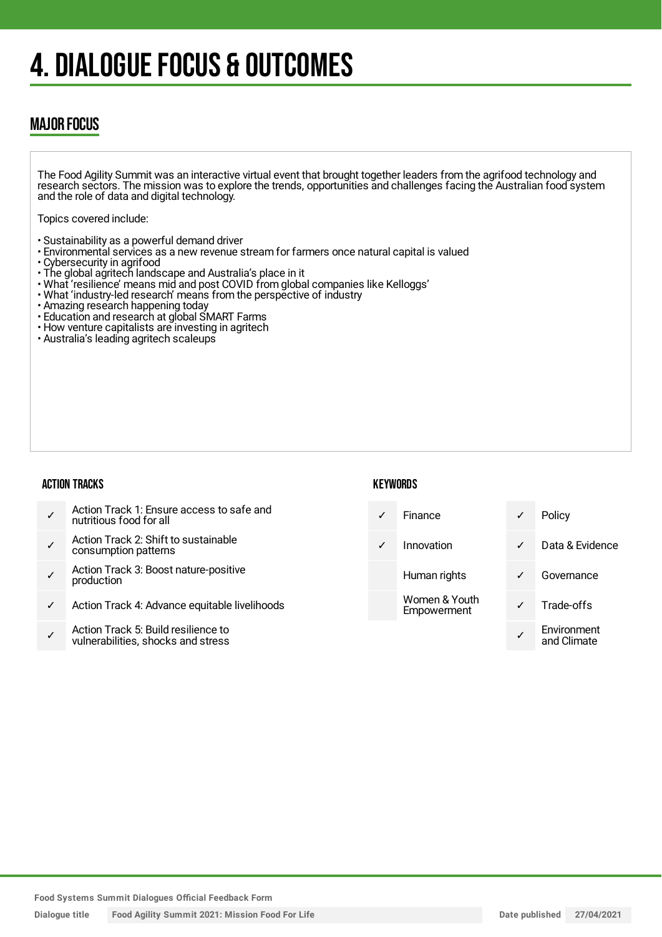## 4. DIALOGUE FOCUS & OUTCOMES

### MAJOR FOCUS

The Food Agility Summit was an interactive virtual event that brought together leaders from the agrifood technology and research sectors. The mission was to explore the trends, opportunities and challenges facing the Australian food system and the role of data and digital technology.

Topics covered include:

- Sustainability as a powerful demand driver
- Environmental services as a new revenue stream for farmers once natural capital is valued
- Cybersecurity in agrifood
- The global agritech landscape and Australia's place in it
- What 'resilience' means mid and post COVID from global companies like Kelloggs'
- What 'industry-led research' means from the perspective of industry
- Amazing research happening today
- Education and research at global SMART Farms
- How venture capitalists are investing in agritech
- Australia's leading agritech scaleups

#### ACTION TRACKS

#### **KEYWORDS**

| $\checkmark$ | Action Track 1: Ensure access to safe and<br>nutritious food for all      | $\checkmark$ | Finance                      |  |
|--------------|---------------------------------------------------------------------------|--------------|------------------------------|--|
| $\checkmark$ | Action Track 2: Shift to sustainable<br>consumption patterns              | $\checkmark$ | Innovation                   |  |
| $\checkmark$ | Action Track 3: Boost nature-positive<br>production                       |              | Human rights                 |  |
| ✓            | Action Track 4: Advance equitable livelihoods                             |              | Women & Youth<br>Empowerment |  |
| ✓            | Action Track 5: Build resilience to<br>vulnerabilities, shocks and stress |              |                              |  |

Policy Data & Evidence Governance Trade-offs **Environment** and Climate

**Food Systems Summit Dialogues Official Feedback Form**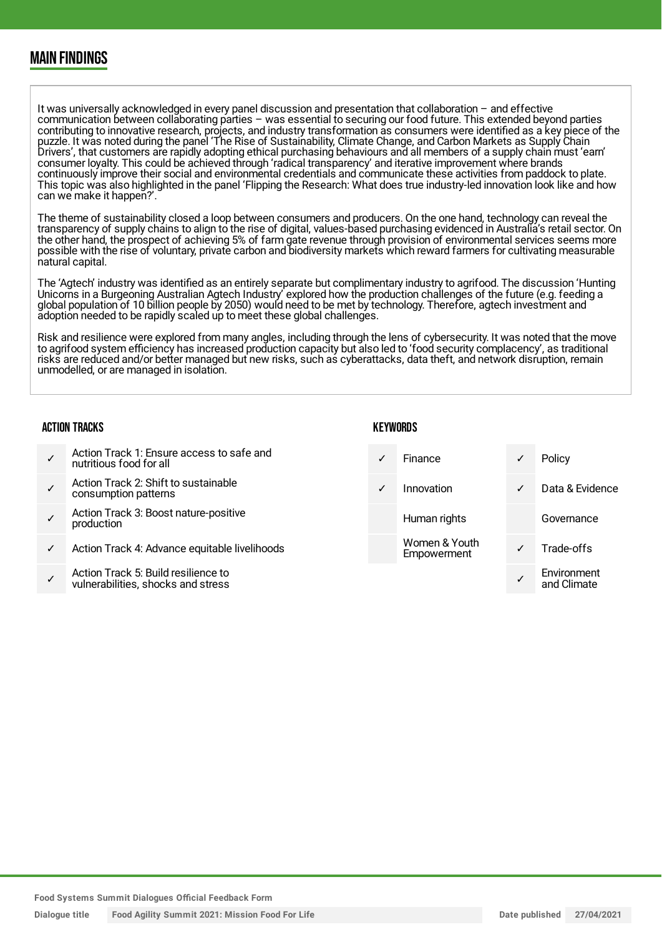### MAIN FINDINGS

It was universally acknowledged in every panel discussion and presentation that collaboration – and effective communication between collaborating parties – was essential to securing our food future. This extended beyond parties contributing to innovative research, projects, and industry transformation as consumers were identified as a key piece of the puzzle. It was noted during the panel 'The Rise of Sustainability, Climate Change, and Carbon Markets as Supply Chain Drivers', that customers are rapidly adopting ethical purchasing behaviours and all members of a supply chain must 'earn' consumer loyalty. This could be achieved through 'radical transparency' and iterative improvement where brands continuously improve their social and environmental credentials and communicate these activities from paddock to plate. This topic was also highlighted in the panel 'Flipping the Research: What does true industry-led innovation look like and how can we make it happen?'.

The theme of sustainability closed a loop between consumers and producers. On the one hand, technology can reveal the transparency of supply chains to align to the rise of digital, values-based purchasing evidenced in Australia's retail sector. On the other hand, the prospect of achieving 5% of farm gate revenue through provision of environmental services seems more possible with the rise of voluntary, private carbon and biodiversity markets which reward farmers for cultivating measurable natural capital.

The 'Agtech' industry was identified as an entirely separate but complimentary industry to agrifood. The discussion 'Hunting Unicorns in a Burgeoning Australian Agtech Industry' explored how the production challenges of the future (e.g. feeding a global population of 10 billion people by 2050) would need to be met by technology. Therefore, agtech investment and adoption needed to be rapidly scaled up to meet these global challenges.

Risk and resilience were explored from many angles, including through the lens of cybersecurity. It was noted that the move to agrifood system efficiency has increased production capacity but also led to 'food security complacency', as traditional risks are reduced and/or better managed but new risks, such as cyberattacks, data theft, and network disruption, remain unmodelled, or are managed in isolation.

#### ACTION TRACKS

- ✓ Action Track 1: Ensure access to safe and nutritious food for all
- ✓ Action Track 2: Shift to sustainable consumption patterns
- ✓ Action Track 3: Boost nature-positive production
- Action Track 4: Advance equitable livelihoods
- ✓ Action Track 5: Build resilience to vulnerabilities, shocks and stress

- ✓ Finance ✓ Policy ✓ Innovation ✓ Data & Evidence Human rights **Governance** Women & Youth Woment V Trade-offs Environment
	- ✓ and Climate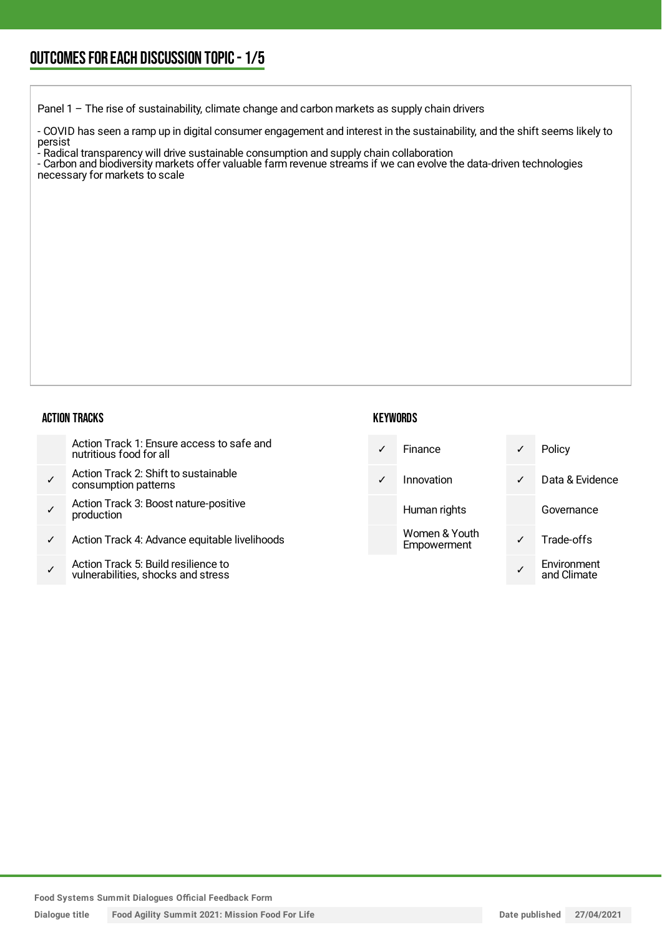Panel 1 - The rise of sustainability, climate change and carbon markets as supply chain drivers

- COVID has seen a ramp up in digital consumer engagement and interest in the sustainability, and the shift seems likely to persist

- Radical transparency will drive sustainable consumption and supply chain collaboration

- Carbon and biodiversity markets offer valuable farm revenue streams if we can evolve the data-driven technologies necessary for markets to scale

#### ACTION TRACKS

| Action Track 1: Ensure access to safe and |
|-------------------------------------------|
| nutritious food for all                   |

- ✓ Action Track 2: Shift to sustainable consumption patterns
- ✓ Action Track 3: Boost nature-positive production
- Action Track 4: Advance equitable livelihoods
- ✓ Action Track 5: Build resilience to vulnerabilities, shocks and stress

| Finance                      | ✓ | Policy                     |
|------------------------------|---|----------------------------|
| Innovation                   | ✓ | Data & Evidence            |
| Human rights                 |   | Governance                 |
| Women & Youth<br>Empowerment |   | Trade-offs                 |
|                              |   | Environment<br>and Climate |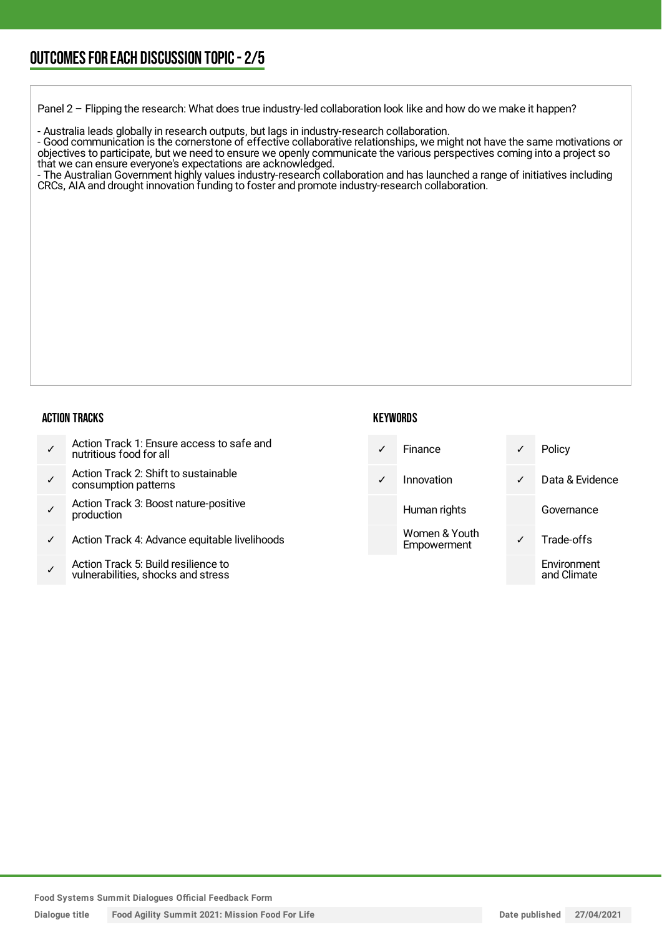Panel 2 – Flipping the research: What does true industry-led collaboration look like and how do we make it happen?

- Australia leads globally in research outputs, but lags in industry-research collaboration.

- Good communication is the cornerstone of effective collaborative relationships, we might not have the same motivations or objectives to participate, but we need to ensure we openly communicate the various perspectives coming into a project so that we can ensure everyone's expectations are acknowledged.

- The Australian Government highly values industry-research collaboration and has launched a range of initiatives including CRCs, AIA and drought innovation funding to foster and promote industry-research collaboration.

#### ACTION TRACKS

|  | Action Track 1: Ensure access to safe and<br>nutritious food for all |
|--|----------------------------------------------------------------------|
|--|----------------------------------------------------------------------|

- ✓ Action Track 2: Shift to sustainable consumption patterns
- ✓ Action Track 3: Boost nature-positive production
- Action Track 4: Advance equitable livelihoods
- ✓ Action Track 5: Build resilience to vulnerabilities, shocks and stress

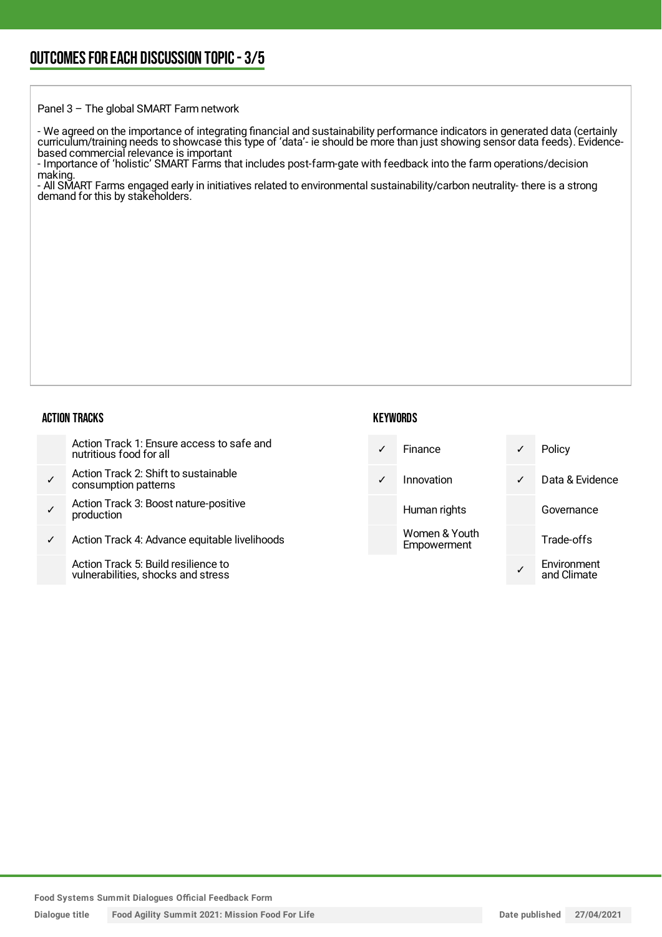Panel 3 – The global SMART Farm network

- We agreed on the importance of integrating financial and sustainability performance indicators in generated data (certainly curriculum/training needs to showcase this type of 'data'- ie should be more than just showing sensor data feeds). Evidencebased commercial relevance is important

- Importance of 'holistic' SMART Farms that includes post-farm-gate with feedback into the farm operations/decision making.

- All SMART Farms engaged early in initiatives related to environmental sustainability/carbon neutrality- there is a strong demand for this by stakeholders.

#### ACTION TRACKS

| Action Track 1: Ensure access to safe and |
|-------------------------------------------|
| nutritious food for all                   |

- ✓ Action Track 2: Shift to sustainable consumption patterns
- ✓ Action Track 3: Boost nature-positive production
- ✓ Action Track 4: Advance equitable livelihoods

Action Track 5: Build resilience to vulnerabilities, shocks and stress

|   | Finance                      | ✓ | Policy                     |
|---|------------------------------|---|----------------------------|
| ✓ | Innovation                   | ✓ | Data & Evidence            |
|   | Human rights                 |   | Governance                 |
|   | Women & Youth<br>Empowerment |   | Trade-offs                 |
|   |                              |   | Environment<br>and Climate |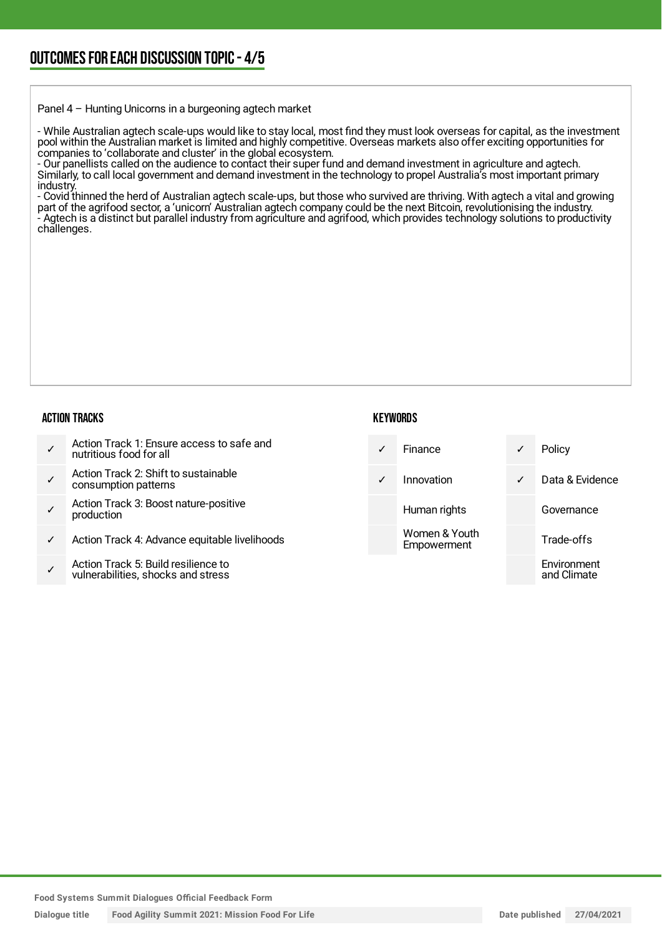Panel 4 – Hunting Unicorns in a burgeoning agtech market

- While Australian agtech scale-ups would like to stay local, most find they must look overseas for capital, as the investment pool within the Australian market is limited and highly competitive. Overseas markets also offer exciting opportunities for companies to 'collaborate and cluster' in the global ecosystem.

- Our panellists called on the audience to contact their super fund and demand investment in agriculture and agtech. Similarly, to call local government and demand investment in the technology to propel Australia's most important primary industry.

- Covid thinned the herd of Australian agtech scale-ups, but those who survived are thriving. With agtech a vital and growing part of the agrifood sector, a 'unicorn' Australian agtech company could be the next Bitcoin, revolutionising the industry. - Agtech is a distinct but parallel industry from agriculture and agrifood, which provides technology solutions to productivity challenges.

#### ACTION TRACKS

|  | Action Track 1: Ensure access to safe and<br>nutritious food for all |
|--|----------------------------------------------------------------------|
|--|----------------------------------------------------------------------|

- ✓ Action Track 2: Shift to sustainable consumption patterns
- ✓ Action Track 3: Boost nature-positive production
- Action Track 4: Advance equitable livelihoods
- ✓ Action Track 5: Build resilience to vulnerabilities, shocks and stress

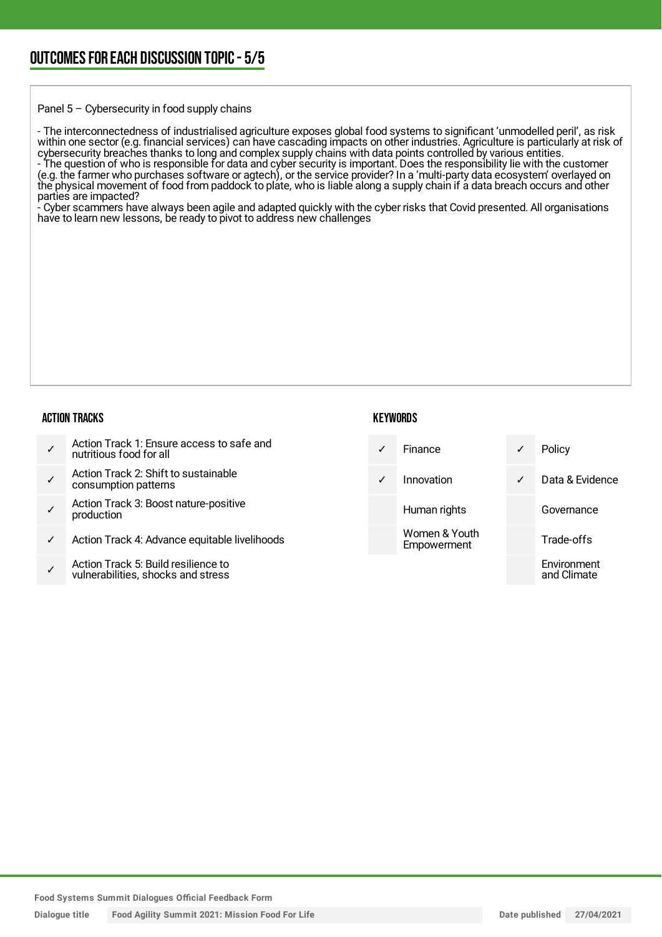Panel 5 – Cybersecurity in food supply chains

- The interconnectedness of industrialised agriculture exposes global food systems to significant 'unmodelled peril', as risk within one sector (e.g. financial services) can have cascading impacts on other industries. Agriculture is particularly at risk of cybersecurity breaches thanks to long and complex supply chains with data points controlled by various entities. - The question of who is responsible for data and cyber security is important. Does the responsibility lie with the customer (e.g. the farmer who purchases software or agtech), or the service provider? In a 'multi-party data ecosystem' overlayed on the physical movement of food from paddock to plate, who is liable along a supply chain if a data breach occurs and other parties are impacted?

Cyber scammers have always been agile and adapted quickly with the cyber risks that Covid presented. All organisations have to learn new lessons, be ready to pivot to address new challenges

#### ACTION TRACKS

| nutritious food for all |  | Action Track 1: Ensure access to safe and |
|-------------------------|--|-------------------------------------------|
|-------------------------|--|-------------------------------------------|

- ✓ Action Track 2: Shift to sustainable consumption patterns
- ✓ Action Track 3: Boost nature-positive production
- Action Track 4: Advance equitable livelihoods
- ✓ Action Track 5: Build resilience to vulnerabilities, shocks and stress